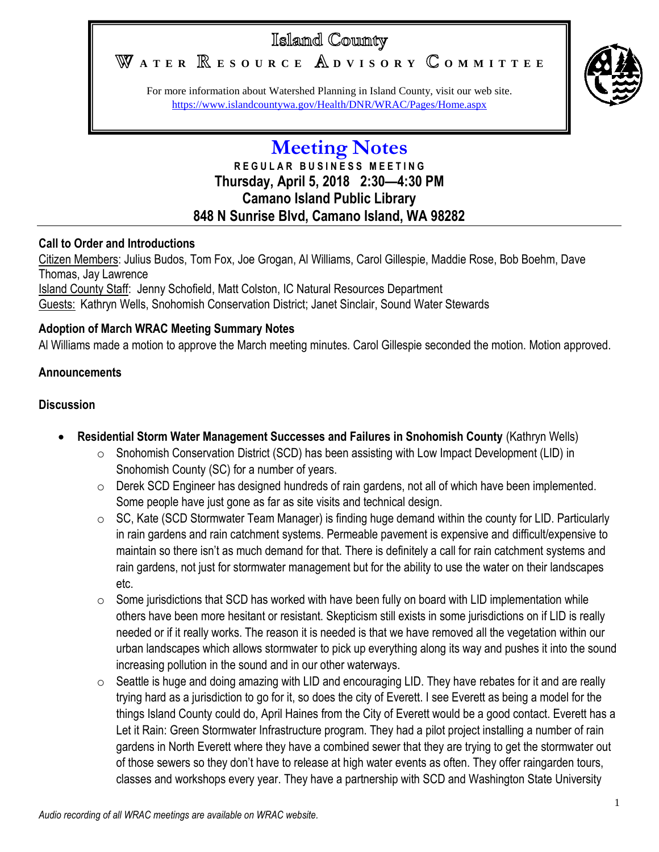# Islamd County

WATER **RESOURCE** ADVISORY COMMITTEE



For more information about Watershed Planning in Island County, visit our web site. <https://www.islandcountywa.gov/Health/DNR/WRAC/Pages/Home.aspx>

# **Meeting Notes R E G U L A R B U S I N E S S M E E T I N G Thursday, April 5, 2018 2:30—4:30 PM Camano Island Public Library 848 N Sunrise Blvd, Camano Island, WA 98282**

#### **Call to Order and Introductions**

Citizen Members: Julius Budos, Tom Fox, Joe Grogan, Al Williams, Carol Gillespie, Maddie Rose, Bob Boehm, Dave Thomas, Jay Lawrence Island County Staff: Jenny Schofield, Matt Colston, IC Natural Resources Department Guests: Kathryn Wells, Snohomish Conservation District; Janet Sinclair, Sound Water Stewards

## **Adoption of March WRAC Meeting Summary Notes**

Al Williams made a motion to approve the March meeting minutes. Carol Gillespie seconded the motion. Motion approved.

## **Announcements**

#### **Discussion**

- **Residential Storm Water Management Successes and Failures in Snohomish County** (Kathryn Wells)
	- $\circ$  Snohomish Conservation District (SCD) has been assisting with Low Impact Development (LID) in Snohomish County (SC) for a number of years.
	- o Derek SCD Engineer has designed hundreds of rain gardens, not all of which have been implemented. Some people have just gone as far as site visits and technical design.
	- $\circ$  SC, Kate (SCD Stormwater Team Manager) is finding huge demand within the county for LID. Particularly in rain gardens and rain catchment systems. Permeable pavement is expensive and difficult/expensive to maintain so there isn't as much demand for that. There is definitely a call for rain catchment systems and rain gardens, not just for stormwater management but for the ability to use the water on their landscapes etc.
	- $\circ$  Some jurisdictions that SCD has worked with have been fully on board with LID implementation while others have been more hesitant or resistant. Skepticism still exists in some jurisdictions on if LID is really needed or if it really works. The reason it is needed is that we have removed all the vegetation within our urban landscapes which allows stormwater to pick up everything along its way and pushes it into the sound increasing pollution in the sound and in our other waterways.
	- $\circ$  Seattle is huge and doing amazing with LID and encouraging LID. They have rebates for it and are really trying hard as a jurisdiction to go for it, so does the city of Everett. I see Everett as being a model for the things Island County could do, April Haines from the City of Everett would be a good contact. Everett has a Let it Rain: Green Stormwater Infrastructure program. They had a pilot project installing a number of rain gardens in North Everett where they have a combined sewer that they are trying to get the stormwater out of those sewers so they don't have to release at high water events as often. They offer raingarden tours, classes and workshops every year. They have a partnership with SCD and Washington State University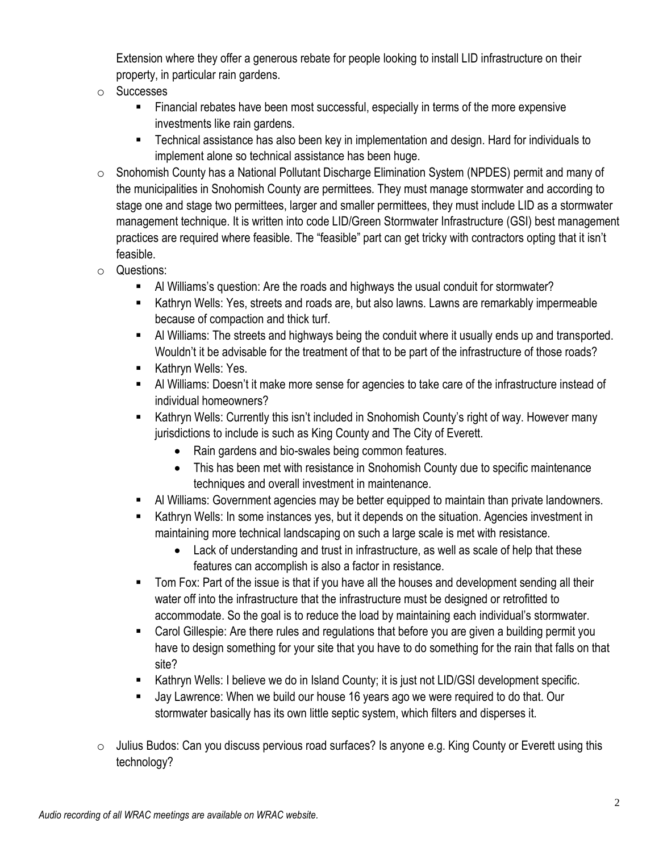Extension where they offer a generous rebate for people looking to install LID infrastructure on their property, in particular rain gardens.

- o Successes
	- Financial rebates have been most successful, especially in terms of the more expensive investments like rain gardens.
	- Technical assistance has also been key in implementation and design. Hard for individuals to implement alone so technical assistance has been huge.
- $\circ$  Snohomish County has a National Pollutant Discharge Elimination System (NPDES) permit and many of the municipalities in Snohomish County are permittees. They must manage stormwater and according to stage one and stage two permittees, larger and smaller permittees, they must include LID as a stormwater management technique. It is written into code LID/Green Stormwater Infrastructure (GSI) best management practices are required where feasible. The "feasible" part can get tricky with contractors opting that it isn't feasible.
- o Questions:
	- Al Williams's question: Are the roads and highways the usual conduit for stormwater?
	- Kathryn Wells: Yes, streets and roads are, but also lawns. Lawns are remarkably impermeable because of compaction and thick turf.
	- Al Williams: The streets and highways being the conduit where it usually ends up and transported. Wouldn't it be advisable for the treatment of that to be part of the infrastructure of those roads?
	- Kathryn Wells: Yes.
	- Al Williams: Doesn't it make more sense for agencies to take care of the infrastructure instead of individual homeowners?
	- Kathryn Wells: Currently this isn't included in Snohomish County's right of way. However many jurisdictions to include is such as King County and The City of Everett.
		- Rain gardens and bio-swales being common features.
		- This has been met with resistance in Snohomish County due to specific maintenance techniques and overall investment in maintenance.
	- Al Williams: Government agencies may be better equipped to maintain than private landowners.
	- **Kathryn Wells: In some instances yes, but it depends on the situation. Agencies investment in** maintaining more technical landscaping on such a large scale is met with resistance.
		- Lack of understanding and trust in infrastructure, as well as scale of help that these features can accomplish is also a factor in resistance.
	- Tom Fox: Part of the issue is that if you have all the houses and development sending all their water off into the infrastructure that the infrastructure must be designed or retrofitted to accommodate. So the goal is to reduce the load by maintaining each individual's stormwater.
	- Carol Gillespie: Are there rules and regulations that before you are given a building permit you have to design something for your site that you have to do something for the rain that falls on that site?
	- Kathryn Wells: I believe we do in Island County; it is just not LID/GSI development specific.
	- Jay Lawrence: When we build our house 16 years ago we were required to do that. Our stormwater basically has its own little septic system, which filters and disperses it.
- o Julius Budos: Can you discuss pervious road surfaces? Is anyone e.g. King County or Everett using this technology?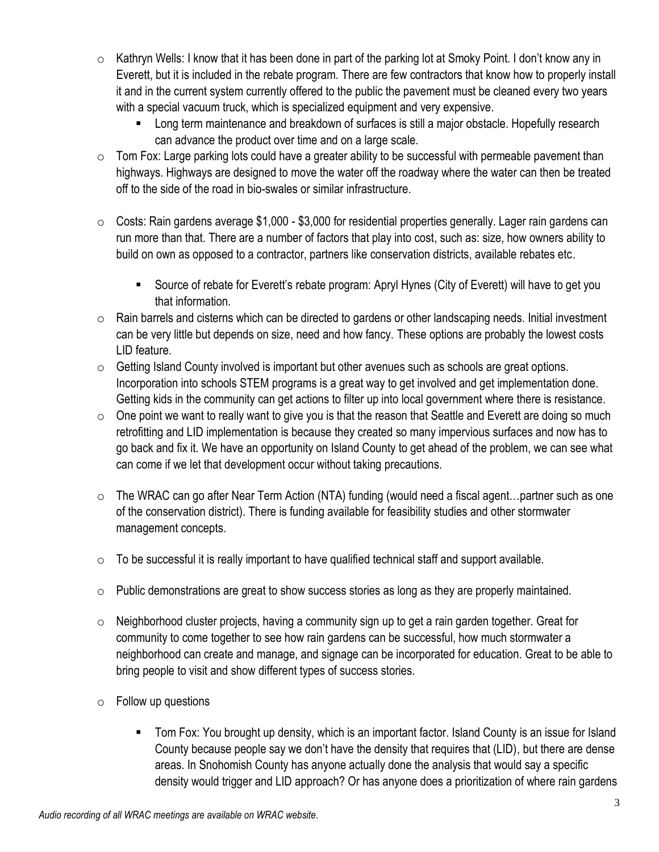- $\circ$  Kathryn Wells: I know that it has been done in part of the parking lot at Smoky Point. I don't know any in Everett, but it is included in the rebate program. There are few contractors that know how to properly install it and in the current system currently offered to the public the pavement must be cleaned every two years with a special vacuum truck, which is specialized equipment and very expensive.
	- Long term maintenance and breakdown of surfaces is still a major obstacle. Hopefully research can advance the product over time and on a large scale.
- $\circ$  Tom Fox: Large parking lots could have a greater ability to be successful with permeable pavement than highways. Highways are designed to move the water off the roadway where the water can then be treated off to the side of the road in bio-swales or similar infrastructure.
- $\circ$  Costs: Rain gardens average \$1,000 \$3,000 for residential properties generally. Lager rain gardens can run more than that. There are a number of factors that play into cost, such as: size, how owners ability to build on own as opposed to a contractor, partners like conservation districts, available rebates etc.
	- Source of rebate for Everett's rebate program: Apryl Hynes (City of Everett) will have to get you that information.
- o Rain barrels and cisterns which can be directed to gardens or other landscaping needs. Initial investment can be very little but depends on size, need and how fancy. These options are probably the lowest costs LID feature.
- $\circ$  Getting Island County involved is important but other avenues such as schools are great options. Incorporation into schools STEM programs is a great way to get involved and get implementation done. Getting kids in the community can get actions to filter up into local government where there is resistance.
- $\circ$  One point we want to really want to give you is that the reason that Seattle and Everett are doing so much retrofitting and LID implementation is because they created so many impervious surfaces and now has to go back and fix it. We have an opportunity on Island County to get ahead of the problem, we can see what can come if we let that development occur without taking precautions.
- $\circ$  The WRAC can go after Near Term Action (NTA) funding (would need a fiscal agent...partner such as one of the conservation district). There is funding available for feasibility studies and other stormwater management concepts.
- $\circ$  To be successful it is really important to have qualified technical staff and support available.
- $\circ$  Public demonstrations are great to show success stories as long as they are properly maintained.
- $\circ$  Neighborhood cluster projects, having a community sign up to get a rain garden together. Great for community to come together to see how rain gardens can be successful, how much stormwater a neighborhood can create and manage, and signage can be incorporated for education. Great to be able to bring people to visit and show different types of success stories.
- $\circ$  Follow up questions
	- Tom Fox: You brought up density, which is an important factor. Island County is an issue for Island County because people say we don't have the density that requires that (LID), but there are dense areas. In Snohomish County has anyone actually done the analysis that would say a specific density would trigger and LID approach? Or has anyone does a prioritization of where rain gardens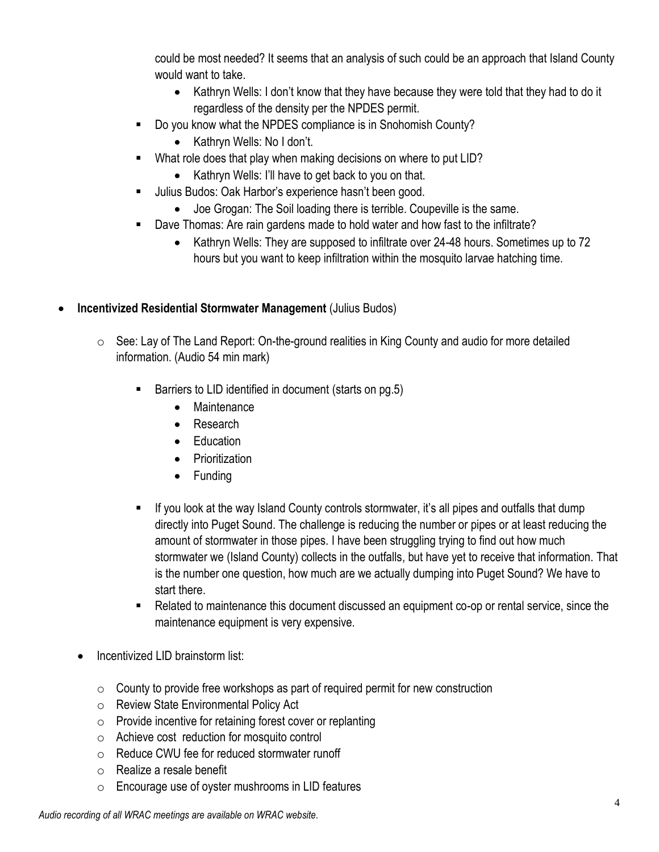could be most needed? It seems that an analysis of such could be an approach that Island County would want to take.

- Kathryn Wells: I don't know that they have because they were told that they had to do it regardless of the density per the NPDES permit.
- Do you know what the NPDES compliance is in Snohomish County?
	- Kathryn Wells: No I don't.
- **What role does that play when making decisions on where to put LID?** 
	- Kathryn Wells: I'll have to get back to you on that.
- Ullius Budos: Oak Harbor's experience hasn't been good.
	- Joe Grogan: The Soil loading there is terrible. Coupeville is the same.
- Dave Thomas: Are rain gardens made to hold water and how fast to the infiltrate?
	- Kathryn Wells: They are supposed to infiltrate over 24-48 hours. Sometimes up to 72 hours but you want to keep infiltration within the mosquito larvae hatching time.

#### **Incentivized Residential Stormwater Management** (Julius Budos)

- $\circ$  See: Lay of The Land Report: On-the-ground realities in King County and audio for more detailed information. (Audio 54 min mark)
	- Barriers to LID identified in document (starts on pg.5)
		- Maintenance
		- Research
		- Education
		- Prioritization
		- Funding
	- If you look at the way Island County controls stormwater, it's all pipes and outfalls that dump directly into Puget Sound. The challenge is reducing the number or pipes or at least reducing the amount of stormwater in those pipes. I have been struggling trying to find out how much stormwater we (Island County) collects in the outfalls, but have yet to receive that information. That is the number one question, how much are we actually dumping into Puget Sound? We have to start there.
	- Related to maintenance this document discussed an equipment co-op or rental service, since the maintenance equipment is very expensive.
- Incentivized LID brainstorm list:
	- $\circ$  County to provide free workshops as part of required permit for new construction
	- o Review State Environmental Policy Act
	- o Provide incentive for retaining forest cover or replanting
	- o Achieve cost reduction for mosquito control
	- o Reduce CWU fee for reduced stormwater runoff
	- o Realize a resale benefit
	- o Encourage use of oyster mushrooms in LID features